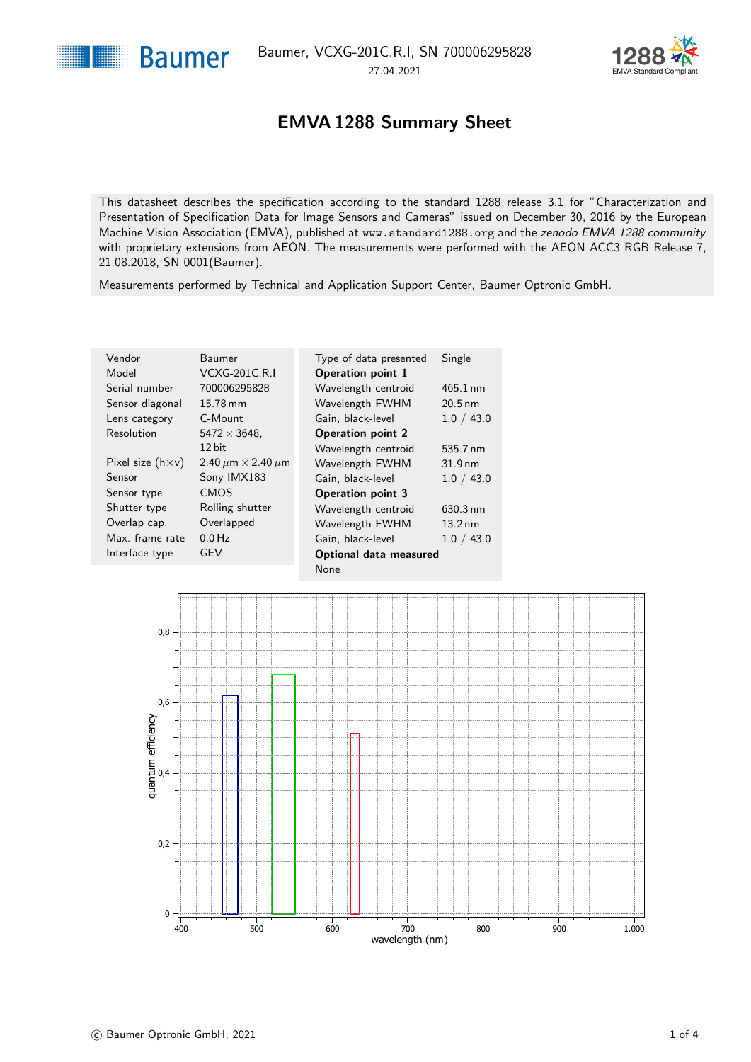

### EMVA 1288 Summary Sheet

<span id="page-0-1"></span><span id="page-0-0"></span>This datasheet describes the specification according to the standard 1288 release 3.1 for "Characterization and Presentation of Specification Data for Image Sensors and Cameras" issued on December 30, 2016 by the European Machine Vision Association (EMVA), published at <www.standard1288.org> and the [zenodo EMVA 1288 community](http://www.zenodo.org/collection/user-emva1288) with proprietary extensions from AEON. The measurements were performed with the AEON ACC3 RGB Release 7, 21.08.2018, SN 0001(Baumer).

Measurements performed by Technical and Application Support Center, Baumer Optronic GmbH.

| Vendor<br>Model           | Baumer<br><b>VCXG-201C.R.I</b>     | Type of data presented<br><b>Operation point 1</b> | Single             |
|---------------------------|------------------------------------|----------------------------------------------------|--------------------|
|                           |                                    |                                                    |                    |
| Serial number             | 700006295828                       | Wavelength centroid                                | $465.1 \text{ nm}$ |
| Sensor diagonal           | 15.78 mm                           | Wavelength FWHM                                    | $20.5$ nm          |
| Lens category             | C-Mount                            | Gain, black-level                                  | 1.0 / 43.0         |
| Resolution                | $5472 \times 3648$ .               | <b>Operation point 2</b>                           |                    |
|                           | 12 bit                             | Wavelength centroid                                | 535.7 nm           |
| Pixel size $(h \times v)$ | 2.40 $\mu$ m $\times$ 2.40 $\mu$ m | Wavelength FWHM                                    | $31.9 \text{ nm}$  |
| Sensor                    | Sony IMX183                        | Gain, black-level                                  | 1.0 / 43.0         |
| Sensor type               | <b>CMOS</b>                        | <b>Operation point 3</b>                           |                    |
| Shutter type              | Rolling shutter                    | Wavelength centroid                                | $630.3 \text{ nm}$ |
| Overlap cap.              | Overlapped                         | Wavelength FWHM                                    | $13.2 \text{ nm}$  |
| Max. frame rate           | $0.0$ Hz                           | Gain, black-level                                  | 1.0 / 43.0         |
| Interface type            | GEV                                | Optional data measured                             |                    |
|                           |                                    | None                                               |                    |

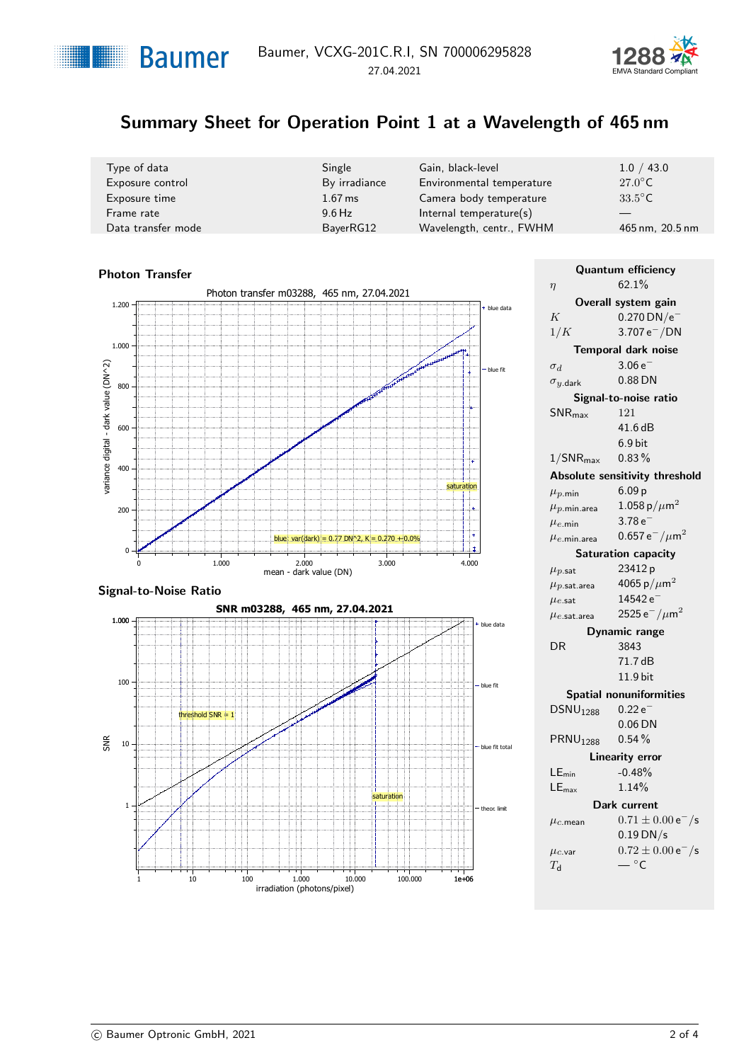



# Summary Sheet for Operation Point 1 at a Wavelength of 465 nm

| Type of data       | Single        | Gain, black-level          | 1.0 / 43.0       |
|--------------------|---------------|----------------------------|------------------|
| Exposure control   | By irradiance | Environmental temperature  | $27.0^{\circ}$ C |
| Exposure time      | $1.67$ ms     | Camera body temperature    | $33.5^{\circ}$ C |
| Frame rate         | $9.6$ Hz      | Internal temperature $(s)$ |                  |
| Data transfer mode | BayerRG12     | Wavelength, centr., FWHM   | 465 nm, 20.5 nm  |

### Photon Transfer Photon transfer m03288, 465 nm, [27.04.2021](#page-0-1) blue data blue fit varia ncedigital - d 400 ark valu e (D N^2) 800  $\theta$ 200 600 1.000 1.200 mean - dark value (DN) 0 1.000 2.000 3.000 3.000 4.000 blue: var(dark) =  $0.77$  DN^2, K =  $0.270 +0.0$ saturation





| <b>Quantum efficiency</b>            |                                |  |
|--------------------------------------|--------------------------------|--|
| $\eta$                               | 62.1%                          |  |
|                                      | Overall system gain            |  |
| K                                    | $0.270$ DN/e <sup>-</sup>      |  |
| 1/K                                  | 3.707 $e^-/DN$                 |  |
|                                      | Temporal dark noise            |  |
| $\sigma_d$                           | $3.06e^{-}$                    |  |
| $\sigma_{y.\mathsf{dark}}$           | 0.88 DN                        |  |
|                                      | Signal-to-noise ratio          |  |
| $SNR_{\text{max}}$                   | 121                            |  |
|                                      | 41.6 dB                        |  |
|                                      | $6.9$ bit                      |  |
| $1/SNR_{\text{max}}$                 | 0.83%                          |  |
| Absolute sensitivity threshold       |                                |  |
| $\mu_{p,\mathsf{min}}$               | 6.09 <sub>p</sub>              |  |
| $\mu_{p.\mathsf{min}.\mathsf{area}}$ | 1.058 p/ $\mu$ m <sup>2</sup>  |  |
| $\mu_{e,\text{min}}$                 | $3.78e^{-}$                    |  |
| $\mu_{e,\mathsf{min}.\mathsf{area}}$ | 0.657 $e^-/\mu m^2$            |  |
|                                      | Saturation capacity            |  |
| $\mu_{p.\mathsf{sat}}$               | 23412 p                        |  |
| $\mu_{p.\mathsf{sat. area}}$         | 4065 p/ $\mu$ m <sup>2</sup>   |  |
| $\mu$ e.sat                          | 14542 e                        |  |
| $\mu_{e.\mathsf{sat. area}}$         | 2525 e $^-/\mu$ m <sup>2</sup> |  |
|                                      | <b>Dynamic range</b>           |  |
| DR                                   | 3843                           |  |
|                                      | 71.7 dB                        |  |
|                                      | 11.9 bit                       |  |
| <b>Spatial nonuniformities</b>       |                                |  |
| DSNU <sub>1288</sub>                 | $0.22e^{-}$                    |  |
|                                      | $0.06$ DN                      |  |
| <b>PRNU</b> <sub>1288</sub>          | $0.54\%$                       |  |
| <b>Linearity error</b>               |                                |  |
| $LE_{min}$                           | $-0.48%$                       |  |
| $LE_{\text{max}}$                    | 1.14%                          |  |
| Dark current                         |                                |  |
| $\mu_{c.\mathsf{mean}}$              | $0.71 \pm 0.00 e^-$ /s         |  |
|                                      | $0.19$ DN/s                    |  |
| $\mu_{c.\mathsf{var}}$               | $0.72 \pm 0.00 e^-$ /s         |  |
| $T_{\sf d}$                          | $ ^{\circ}$ C                  |  |
|                                      |                                |  |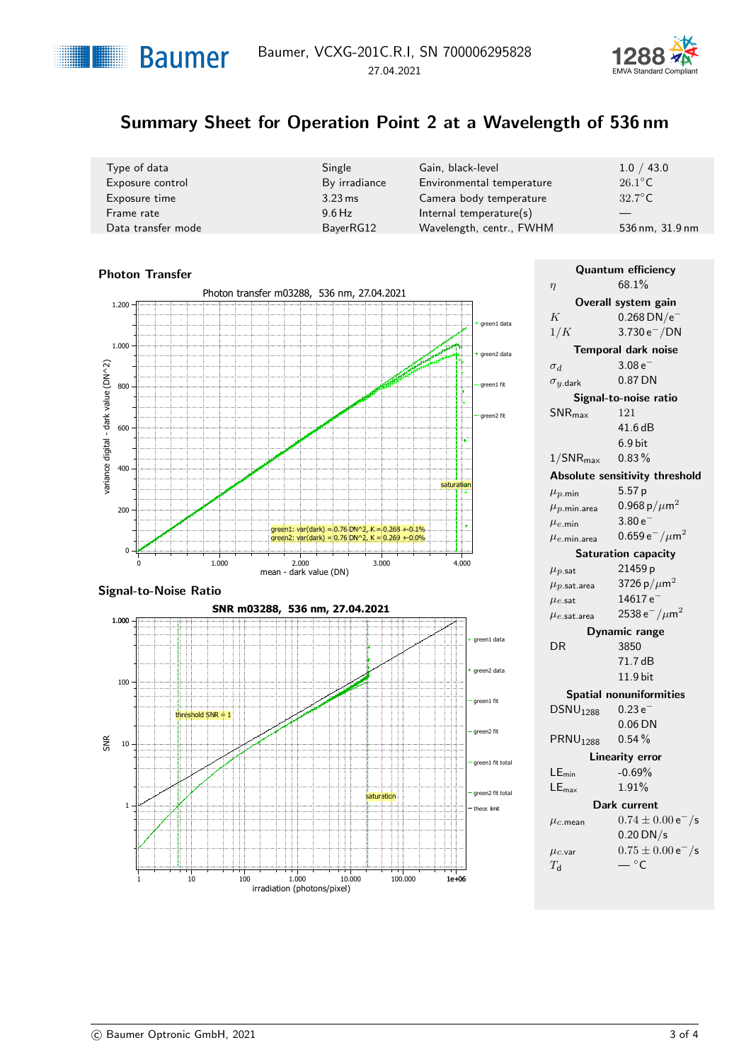



# Summary Sheet for Operation Point 2 at a Wavelength of 536 nm

| Type of data       | Single               | Gain, black-level          | 1.0 / 43.0       |
|--------------------|----------------------|----------------------------|------------------|
| Exposure control   | By irradiance        | Environmental temperature  | $26.1^{\circ}$ C |
| Exposure time      | $3.23 \,\mathrm{ms}$ | Camera body temperature    | $32.7^{\circ}$ C |
| Frame rate         | $9.6$ Hz             | Internal temperature $(s)$ |                  |
| Data transfer mode | BayerRG12            | Wavelength, centr., FWHM   | 536 nm, 31.9 nm  |

#### Photon Transfer Photon transfer m03288, 536 nm, [27.04.2021](#page-0-1) 1.200 green1 data 1.000 green2 data ark valu e (D N^2) 800 en1 fit areen<sub>2</sub> fit 600 varia ncedigital - d 400 saturation 200  $area: var(dark) = 0.76 DN^2$ ,  $K = 0.268 + 0.1\%$  $\overline{1}$  $2: \text{var}(\text{dark}) = 0.76 \text{ DN}^2$ , K = 0.269 + 0.0%  $\theta$ 0 1.000 2.000 3.000 3.000 4.000 mean - dark value (DN)

#### Signal-to-Noise Ratio



| <b>Quantum efficiency</b><br>68.1%   |                                  |  |
|--------------------------------------|----------------------------------|--|
| $\eta$                               |                                  |  |
|                                      | Overall system gain              |  |
| K                                    | $0.268$ DN/e <sup>-</sup>        |  |
| 1/K                                  | $3.730 e^- / DN$                 |  |
|                                      | Temporal dark noise              |  |
| $\sigma_d$                           | $3.08e^{-}$                      |  |
| $\sigma_{y.\mathsf{dark}}$           | 0.87 DN                          |  |
|                                      | Signal-to-noise ratio            |  |
| $SNR_{\text{max}}$                   | 121                              |  |
|                                      | 41.6 dB                          |  |
|                                      | $6.9$ bit                        |  |
| $1/SNR_{\text{max}}$                 | 0.83%                            |  |
| Absolute sensitivity threshold       |                                  |  |
| $\mu_{p,\mathsf{min}}$               | 5.57 p                           |  |
| $\mu_{p.\mathsf{min}.\mathsf{area}}$ | 0.968 p/ $\mu$ m <sup>2</sup>    |  |
| $\mu_{e,\text{min}}$                 | $3.80e^{-}$                      |  |
| $\mu_{e.\mathsf{min}.\mathsf{area}}$ | 0.659 $e^-/\mu m^2$              |  |
|                                      | Saturation capacity              |  |
| $\mu_{p.\mathsf{sat}}$               | 21459 p                          |  |
| $\mu_{p.\mathsf{sat. area}}$         | 3726 p/ $\mu$ m <sup>2</sup>     |  |
| $\mu$ e.sat                          | $14617\,\mathrm{e}^{-}$          |  |
| $\mu_{e.\mathsf{sat. area}}$         | 2538 e $^-/\mu$ m $^2$           |  |
|                                      | Dynamic range                    |  |
| DR                                   | 3850                             |  |
|                                      | 71.7 dB                          |  |
|                                      | 11.9 bit                         |  |
|                                      | <b>Spatial nonuniformities</b>   |  |
| DSNU <sub>1288</sub>                 | $0.23e^{-}$                      |  |
|                                      | $0.06$ DN                        |  |
| <b>PRNU</b> <sub>1288</sub>          | 0.54%                            |  |
|                                      | <b>Linearity error</b>           |  |
| $LE_{min}$                           | $-0.69%$                         |  |
| $LE_{\text{max}}$                    | 1.91%                            |  |
|                                      |                                  |  |
| Dark current                         |                                  |  |
| $\mu_c$ .mean                        | $0.74 \pm 0.00 e^-$ /s           |  |
|                                      | $0.20$ DN/s                      |  |
| $\mu_{c.\mathsf{var}}$               | $0.75 \pm 0.00 e^-$ /s<br>$-$ °C |  |
| $T_{\sf d}$                          |                                  |  |